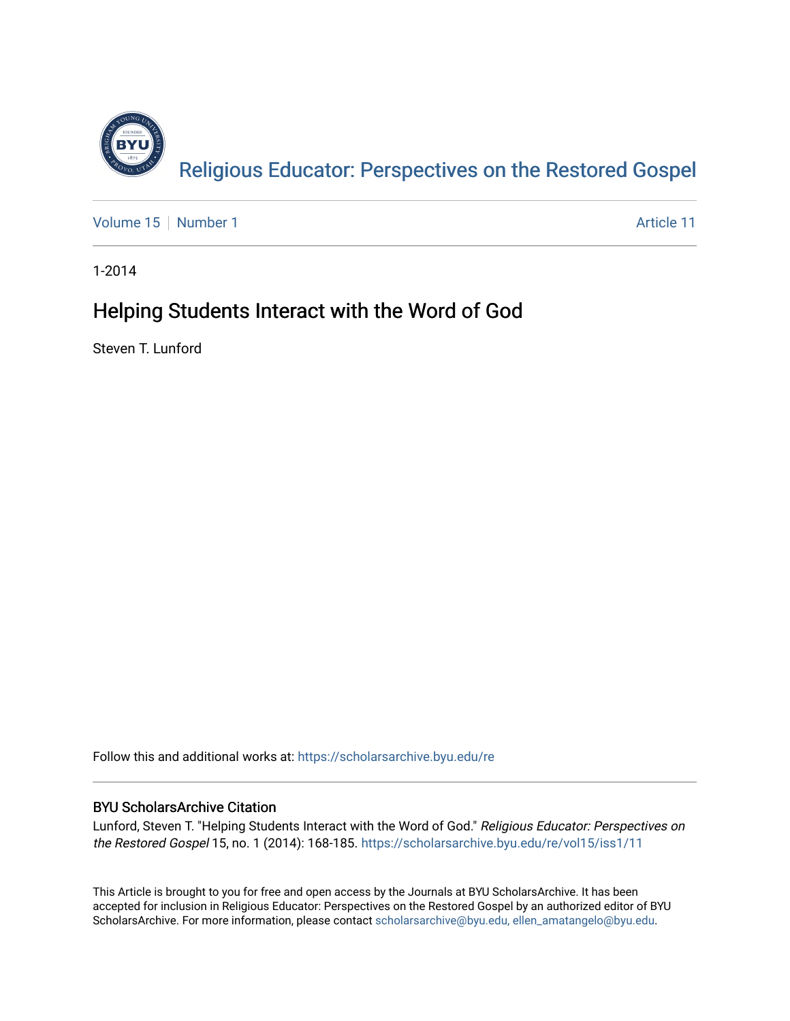

[Volume 15](https://scholarsarchive.byu.edu/re/vol15) [Number 1](https://scholarsarchive.byu.edu/re/vol15/iss1) Article 11

1-2014

# Helping Students Interact with the Word of God

Steven T. Lunford

Follow this and additional works at: [https://scholarsarchive.byu.edu/re](https://scholarsarchive.byu.edu/re?utm_source=scholarsarchive.byu.edu%2Fre%2Fvol15%2Fiss1%2F11&utm_medium=PDF&utm_campaign=PDFCoverPages)

# BYU ScholarsArchive Citation

Lunford, Steven T. "Helping Students Interact with the Word of God." Religious Educator: Perspectives on the Restored Gospel 15, no. 1 (2014): 168-185. [https://scholarsarchive.byu.edu/re/vol15/iss1/11](https://scholarsarchive.byu.edu/re/vol15/iss1/11?utm_source=scholarsarchive.byu.edu%2Fre%2Fvol15%2Fiss1%2F11&utm_medium=PDF&utm_campaign=PDFCoverPages) 

This Article is brought to you for free and open access by the Journals at BYU ScholarsArchive. It has been accepted for inclusion in Religious Educator: Perspectives on the Restored Gospel by an authorized editor of BYU ScholarsArchive. For more information, please contact [scholarsarchive@byu.edu, ellen\\_amatangelo@byu.edu.](mailto:scholarsarchive@byu.edu,%20ellen_amatangelo@byu.edu)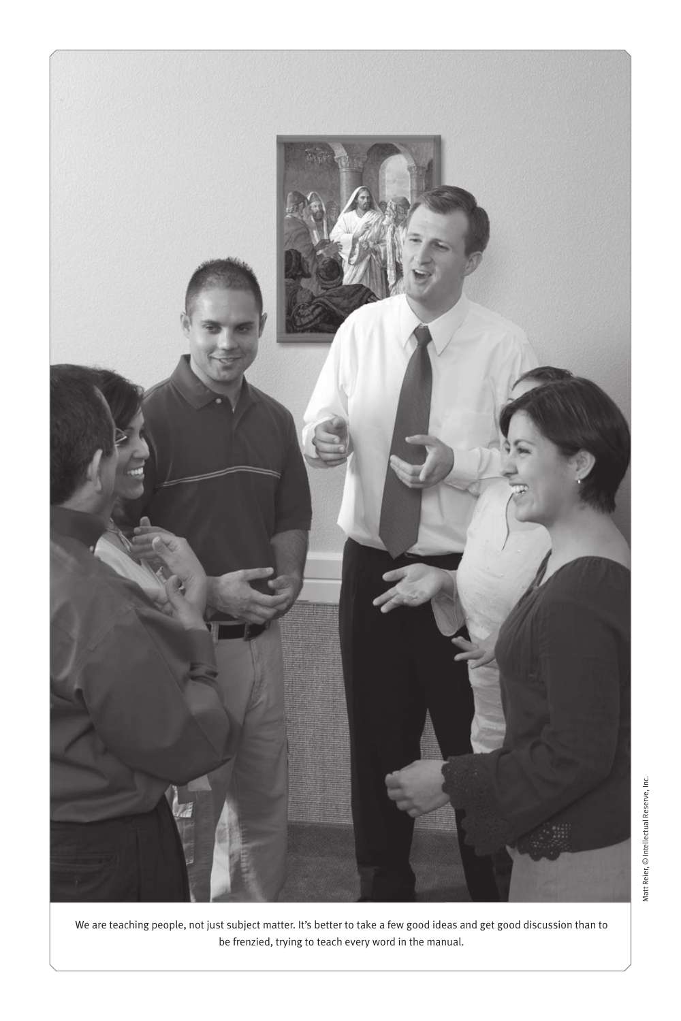

We are teaching people, not just subject matter. It's better to take a few good ideas and get good discussion than to be frenzied, trying to teach every word in the manual.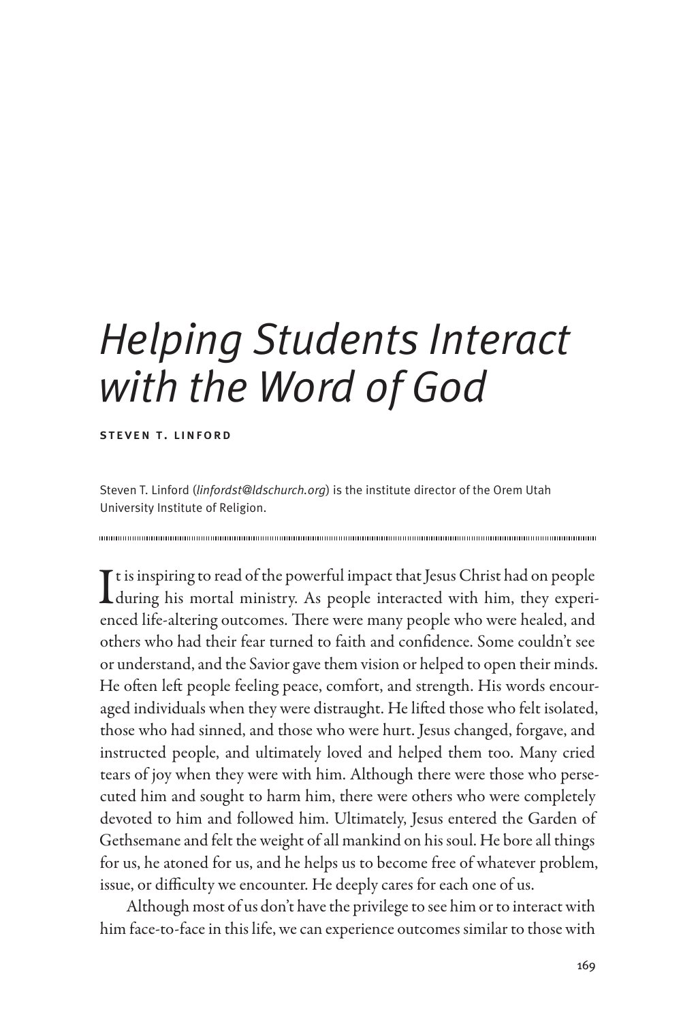# *Helping Students Interact with the Word of God*

#### steven t. linford

Steven T. Linford (*linfordst@ldschurch.org*) is the institute director of the Orem Utah University Institute of Religion.

It is inspiring to read of the powerful impact that Jesus Christ had on people<br>during his mortal ministry. As people interacted with him, they experiduring his mortal ministry. As people interacted with him, they experienced life-altering outcomes. There were many people who were healed, and others who had their fear turned to faith and confidence. Some couldn't see or understand, and the Savior gave them vision or helped to open their minds. He often left people feeling peace, comfort, and strength. His words encouraged individuals when they were distraught. He lifted those who felt isolated, those who had sinned, and those who were hurt. Jesus changed, forgave, and instructed people, and ultimately loved and helped them too. Many cried tears of joy when they were with him. Although there were those who persecuted him and sought to harm him, there were others who were completely devoted to him and followed him. Ultimately, Jesus entered the Garden of Gethsemane and felt the weight of all mankind on his soul. He bore all things for us, he atoned for us, and he helps us to become free of whatever problem, issue, or difficulty we encounter. He deeply cares for each one of us.

Although most of us don't have the privilege to see him or to interact with him face-to-face in this life, we can experience outcomes similar to those with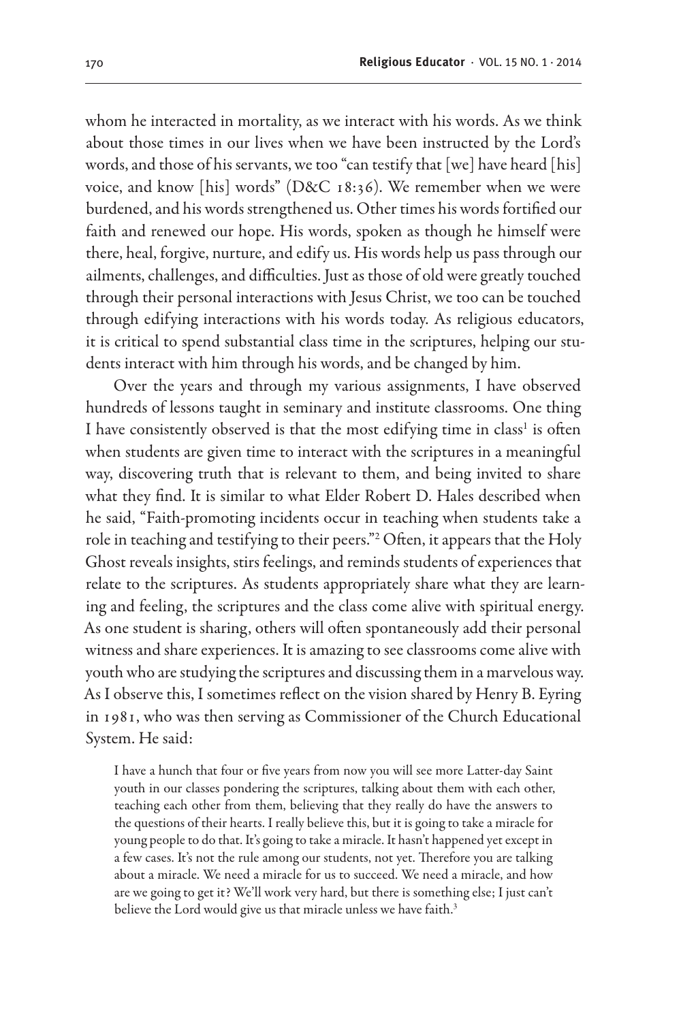whom he interacted in mortality, as we interact with his words. As we think about those times in our lives when we have been instructed by the Lord's words, and those of his servants, we too "can testify that [we] have heard [his] voice, and know [his] words" (D&C 18:36). We remember when we were burdened, and his words strengthened us. Other times his words fortified our faith and renewed our hope. His words, spoken as though he himself were there, heal, forgive, nurture, and edify us. His words help us pass through our ailments, challenges, and difficulties. Just as those of old were greatly touched through their personal interactions with Jesus Christ, we too can be touched through edifying interactions with his words today. As religious educators, it is critical to spend substantial class time in the scriptures, helping our students interact with him through his words, and be changed by him.

Over the years and through my various assignments, I have observed hundreds of lessons taught in seminary and institute classrooms. One thing I have consistently observed is that the most edifying time in class<sup>1</sup> is often when students are given time to interact with the scriptures in a meaningful way, discovering truth that is relevant to them, and being invited to share what they find. It is similar to what Elder Robert D. Hales described when he said, "Faith-promoting incidents occur in teaching when students take a role in teaching and testifying to their peers."2 Often, it appears that the Holy Ghost reveals insights, stirs feelings, and reminds students of experiences that relate to the scriptures. As students appropriately share what they are learning and feeling, the scriptures and the class come alive with spiritual energy. As one student is sharing, others will often spontaneously add their personal witness and share experiences. It is amazing to see classrooms come alive with youth who are studying the scriptures and discussing them in a marvelous way. As I observe this, I sometimes reflect on the vision shared by Henry B. Eyring in 1981, who was then serving as Commissioner of the Church Educational System. He said:

I have a hunch that four or five years from now you will see more Latter-day Saint youth in our classes pondering the scriptures, talking about them with each other, teaching each other from them, believing that they really do have the answers to the questions of their hearts. I really believe this, but it is going to take a miracle for young people to do that. It's going to take a miracle. It hasn't happened yet except in a few cases. It's not the rule among our students, not yet. Therefore you are talking about a miracle. We need a miracle for us to succeed. We need a miracle, and how are we going to get it? We'll work very hard, but there is something else; I just can't believe the Lord would give us that miracle unless we have faith.<sup>3</sup>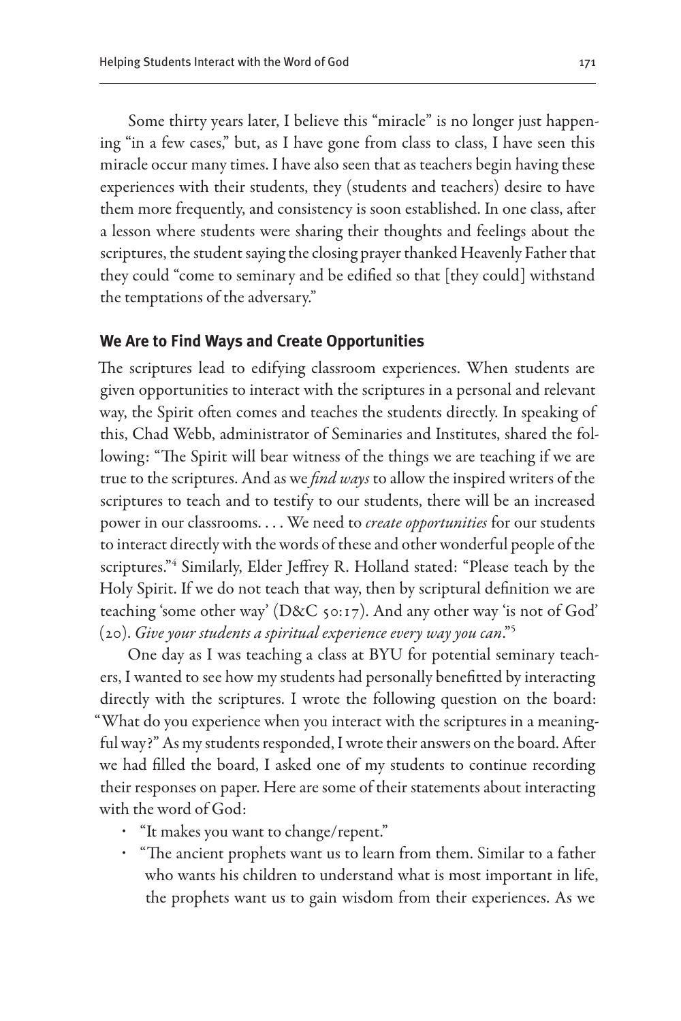Some thirty years later, I believe this "miracle" is no longer just happening "in a few cases," but, as I have gone from class to class, I have seen this miracle occur many times. I have also seen that as teachers begin having these experiences with their students, they (students and teachers) desire to have them more frequently, and consistency is soon established. In one class, after a lesson where students were sharing their thoughts and feelings about the scriptures, the student saying the closing prayer thanked Heavenly Father that they could "come to seminary and be edified so that [they could] withstand the temptations of the adversary."

## **We Are to Find Ways and Create Opportunities**

The scriptures lead to edifying classroom experiences. When students are given opportunities to interact with the scriptures in a personal and relevant way, the Spirit often comes and teaches the students directly. In speaking of this, Chad Webb, administrator of Seminaries and Institutes, shared the following: "The Spirit will bear witness of the things we are teaching if we are true to the scriptures. And as we *find ways* to allow the inspired writers of the scriptures to teach and to testify to our students, there will be an increased power in our classrooms. . . . We need to *create opportunities* for our students to interact directly with the words of these and other wonderful people of the scriptures."4 Similarly, Elder Jeffrey R. Holland stated: "Please teach by the Holy Spirit. If we do not teach that way, then by scriptural definition we are teaching 'some other way' (D&C 50:17). And any other way 'is not of God' (20). *Give your students a spiritual experience every way you can*."5

One day as I was teaching a class at BYU for potential seminary teachers, I wanted to see how my students had personally benefitted by interacting directly with the scriptures. I wrote the following question on the board: "What do you experience when you interact with the scriptures in a meaningful way?" As my students responded, I wrote their answers on the board. After we had filled the board, I asked one of my students to continue recording their responses on paper. Here are some of their statements about interacting with the word of God:

- "It makes you want to change/repent."
- "The ancient prophets want us to learn from them. Similar to a father who wants his children to understand what is most important in life, the prophets want us to gain wisdom from their experiences. As we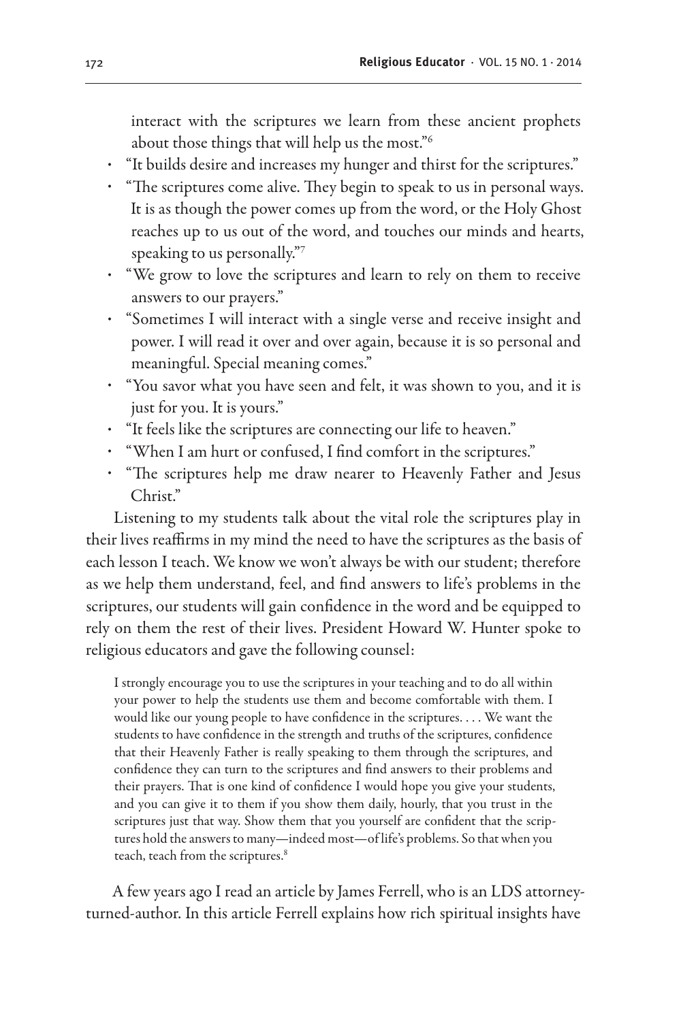interact with the scriptures we learn from these ancient prophets about those things that will help us the most."6

- "It builds desire and increases my hunger and thirst for the scriptures."
- "The scriptures come alive. They begin to speak to us in personal ways. It is as though the power comes up from the word, or the Holy Ghost reaches up to us out of the word, and touches our minds and hearts, speaking to us personally."7
- "We grow to love the scriptures and learn to rely on them to receive answers to our prayers."
- "Sometimes I will interact with a single verse and receive insight and power. I will read it over and over again, because it is so personal and meaningful. Special meaning comes."
- "You savor what you have seen and felt, it was shown to you, and it is just for you. It is yours."
- "It feels like the scriptures are connecting our life to heaven."
- "When I am hurt or confused, I find comfort in the scriptures."
- "The scriptures help me draw nearer to Heavenly Father and Jesus Christ."

Listening to my students talk about the vital role the scriptures play in their lives reaffirms in my mind the need to have the scriptures as the basis of each lesson I teach. We know we won't always be with our student; therefore as we help them understand, feel, and find answers to life's problems in the scriptures, our students will gain confidence in the word and be equipped to rely on them the rest of their lives. President Howard W. Hunter spoke to religious educators and gave the following counsel:

I strongly encourage you to use the scriptures in your teaching and to do all within your power to help the students use them and become comfortable with them. I would like our young people to have confidence in the scriptures. . . . We want the students to have confidence in the strength and truths of the scriptures, confidence that their Heavenly Father is really speaking to them through the scriptures, and confidence they can turn to the scriptures and find answers to their problems and their prayers. That is one kind of confidence I would hope you give your students, and you can give it to them if you show them daily, hourly, that you trust in the scriptures just that way. Show them that you yourself are confident that the scriptures hold the answers to many—indeed most—of life's problems. So that when you teach, teach from the scriptures.<sup>8</sup>

A few years ago I read an article by James Ferrell, who is an LDS attorneyturned-author. In this article Ferrell explains how rich spiritual insights have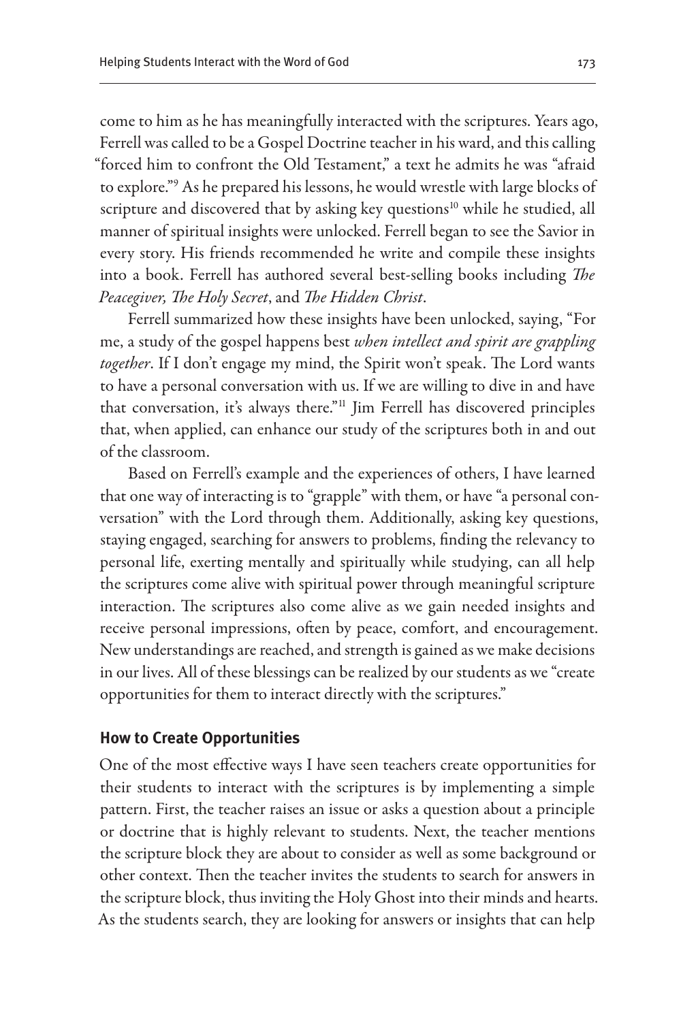come to him as he has meaningfully interacted with the scriptures. Years ago, Ferrell was called to be a Gospel Doctrine teacher in his ward, and this calling "forced him to confront the Old Testament," a text he admits he was "afraid to explore."9 As he prepared his lessons, he would wrestle with large blocks of scripture and discovered that by asking key questions<sup>10</sup> while he studied, all manner of spiritual insights were unlocked. Ferrell began to see the Savior in every story. His friends recommended he write and compile these insights into a book. Ferrell has authored several best-selling books including *The Peacegiver, The Holy Secret*, and *The Hidden Christ*.

Ferrell summarized how these insights have been unlocked, saying, "For me, a study of the gospel happens best *when intellect and spirit are grappling together*. If I don't engage my mind, the Spirit won't speak. The Lord wants to have a personal conversation with us. If we are willing to dive in and have that conversation, it's always there."11 Jim Ferrell has discovered principles that, when applied, can enhance our study of the scriptures both in and out of the classroom.

Based on Ferrell's example and the experiences of others, I have learned that one way of interacting is to "grapple" with them, or have "a personal conversation" with the Lord through them. Additionally, asking key questions, staying engaged, searching for answers to problems, finding the relevancy to personal life, exerting mentally and spiritually while studying, can all help the scriptures come alive with spiritual power through meaningful scripture interaction. The scriptures also come alive as we gain needed insights and receive personal impressions, often by peace, comfort, and encouragement. New understandings are reached, and strength is gained as we make decisions in our lives. All of these blessings can be realized by our students as we "create opportunities for them to interact directly with the scriptures."

## **How to Create Opportunities**

One of the most effective ways I have seen teachers create opportunities for their students to interact with the scriptures is by implementing a simple pattern. First, the teacher raises an issue or asks a question about a principle or doctrine that is highly relevant to students. Next, the teacher mentions the scripture block they are about to consider as well as some background or other context. Then the teacher invites the students to search for answers in the scripture block, thus inviting the Holy Ghost into their minds and hearts. As the students search, they are looking for answers or insights that can help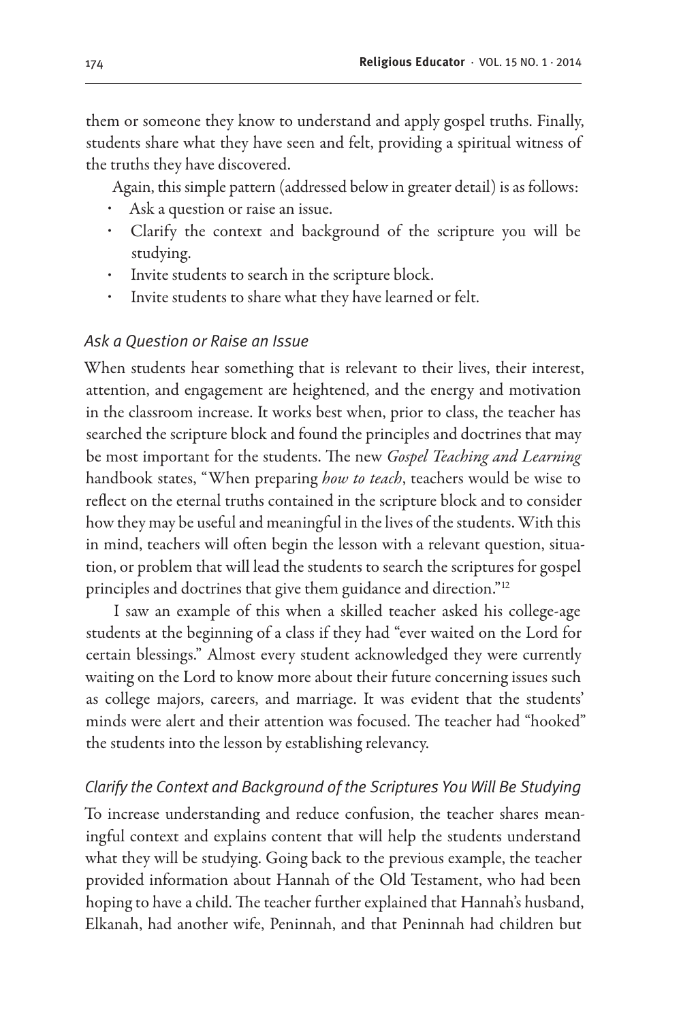them or someone they know to understand and apply gospel truths. Finally, students share what they have seen and felt, providing a spiritual witness of the truths they have discovered.

Again, this simple pattern (addressed below in greater detail) is as follows:

- Ask a question or raise an issue.
- Clarify the context and background of the scripture you will be studying.
- Invite students to search in the scripture block.
- Invite students to share what they have learned or felt.

## *Ask a Question or Raise an Issue*

When students hear something that is relevant to their lives, their interest, attention, and engagement are heightened, and the energy and motivation in the classroom increase. It works best when, prior to class, the teacher has searched the scripture block and found the principles and doctrines that may be most important for the students. The new *Gospel Teaching and Learning*  handbook states, "When preparing *how to teach*, teachers would be wise to reflect on the eternal truths contained in the scripture block and to consider how they may be useful and meaningful in the lives of the students. With this in mind, teachers will often begin the lesson with a relevant question, situation, or problem that will lead the students to search the scriptures for gospel principles and doctrines that give them guidance and direction."12

I saw an example of this when a skilled teacher asked his college-age students at the beginning of a class if they had "ever waited on the Lord for certain blessings." Almost every student acknowledged they were currently waiting on the Lord to know more about their future concerning issues such as college majors, careers, and marriage. It was evident that the students' minds were alert and their attention was focused. The teacher had "hooked" the students into the lesson by establishing relevancy.

# *Clarify the Context and Background of the Scriptures You Will Be Studying*

To increase understanding and reduce confusion, the teacher shares meaningful context and explains content that will help the students understand what they will be studying. Going back to the previous example, the teacher provided information about Hannah of the Old Testament, who had been hoping to have a child. The teacher further explained that Hannah's husband, Elkanah, had another wife, Peninnah, and that Peninnah had children but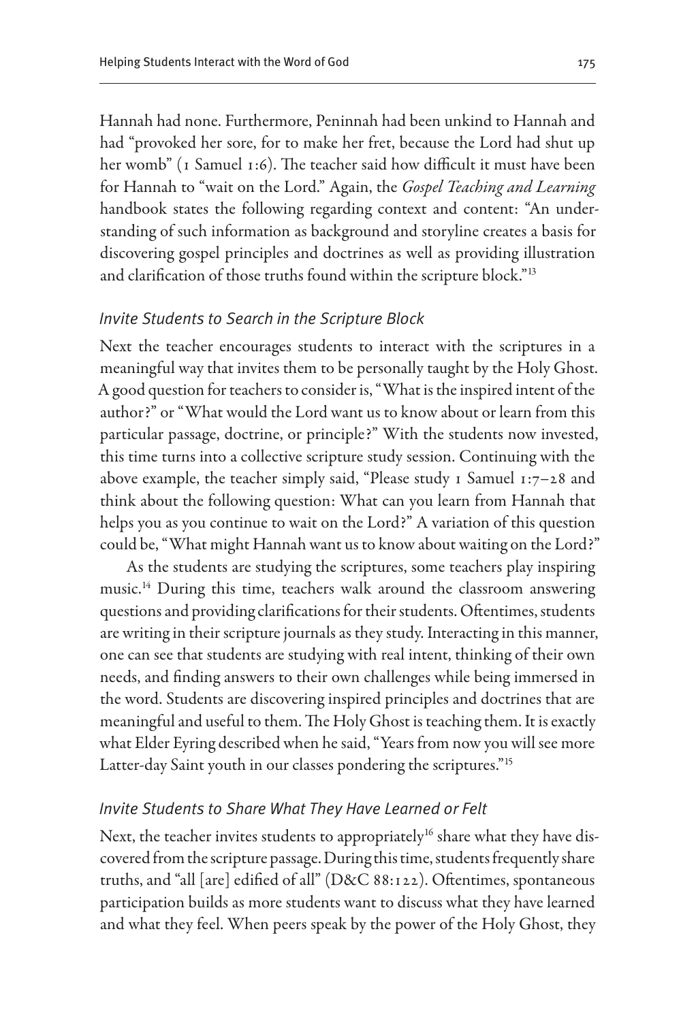Hannah had none. Furthermore, Peninnah had been unkind to Hannah and had "provoked her sore, for to make her fret, because the Lord had shut up her womb" (1 Samuel 1:6). The teacher said how difficult it must have been for Hannah to "wait on the Lord." Again, the *Gospel Teaching and Learning*  handbook states the following regarding context and content: "An understanding of such information as background and storyline creates a basis for discovering gospel principles and doctrines as well as providing illustration and clarification of those truths found within the scripture block."13

# *Invite Students to Search in the Scripture Block*

Next the teacher encourages students to interact with the scriptures in a meaningful way that invites them to be personally taught by the Holy Ghost. A good question for teachers to consider is, "What is the inspired intent of the author?" or "What would the Lord want us to know about or learn from this particular passage, doctrine, or principle?" With the students now invested, this time turns into a collective scripture study session. Continuing with the above example, the teacher simply said, "Please study 1 Samuel 1:7–28 and think about the following question: What can you learn from Hannah that helps you as you continue to wait on the Lord?" A variation of this question could be, "What might Hannah want us to know about waiting on the Lord?"

As the students are studying the scriptures, some teachers play inspiring music.14 During this time, teachers walk around the classroom answering questions and providing clarifications for their students. Oftentimes, students are writing in their scripture journals as they study. Interacting in this manner, one can see that students are studying with real intent, thinking of their own needs, and finding answers to their own challenges while being immersed in the word. Students are discovering inspired principles and doctrines that are meaningful and useful to them. The Holy Ghost is teaching them. It is exactly what Elder Eyring described when he said, "Years from now you will see more Latter-day Saint youth in our classes pondering the scriptures."15

# *Invite Students to Share What They Have Learned or Felt*

Next, the teacher invites students to appropriately<sup>16</sup> share what they have discovered from the scripture passage. During this time, students frequently share truths, and "all [are] edified of all" (D&C 88:122). Oftentimes, spontaneous participation builds as more students want to discuss what they have learned and what they feel. When peers speak by the power of the Holy Ghost, they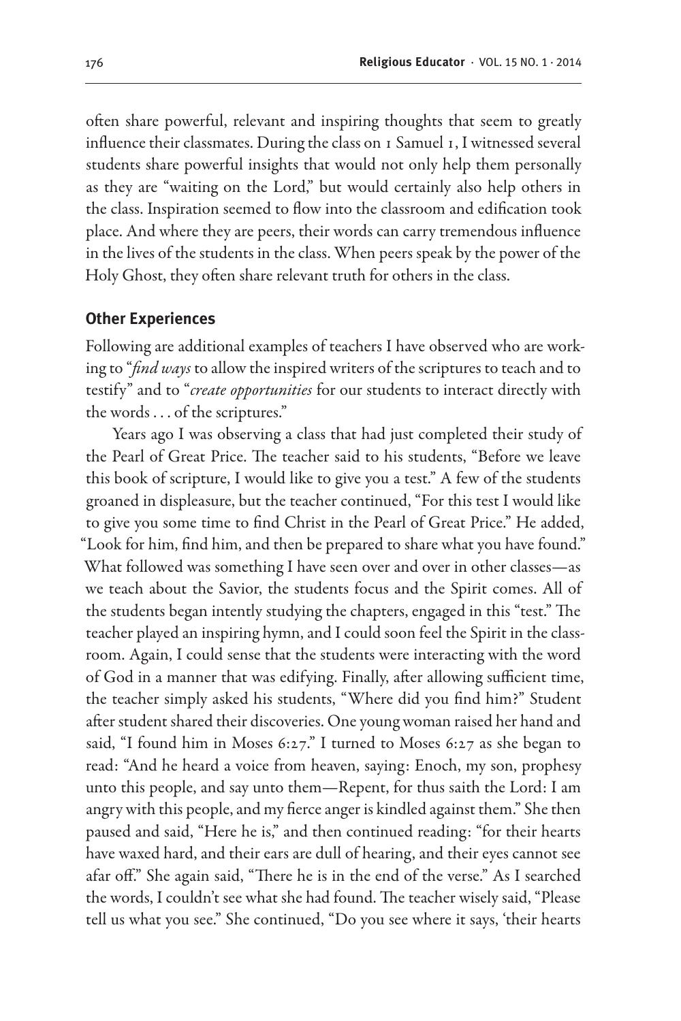often share powerful, relevant and inspiring thoughts that seem to greatly influence their classmates. During the class on 1 Samuel 1, I witnessed several students share powerful insights that would not only help them personally as they are "waiting on the Lord," but would certainly also help others in the class. Inspiration seemed to flow into the classroom and edification took place. And where they are peers, their words can carry tremendous influence in the lives of the students in the class. When peers speak by the power of the Holy Ghost, they often share relevant truth for others in the class.

#### **Other Experiences**

Following are additional examples of teachers I have observed who are working to "*find ways* to allow the inspired writers of the scriptures to teach and to testify" and to "*create opportunities* for our students to interact directly with the words . . . of the scriptures."

Years ago I was observing a class that had just completed their study of the Pearl of Great Price. The teacher said to his students, "Before we leave this book of scripture, I would like to give you a test." A few of the students groaned in displeasure, but the teacher continued, "For this test I would like to give you some time to find Christ in the Pearl of Great Price." He added, "Look for him, find him, and then be prepared to share what you have found." What followed was something I have seen over and over in other classes—as we teach about the Savior, the students focus and the Spirit comes. All of the students began intently studying the chapters, engaged in this "test." The teacher played an inspiring hymn, and I could soon feel the Spirit in the classroom. Again, I could sense that the students were interacting with the word of God in a manner that was edifying. Finally, after allowing sufficient time, the teacher simply asked his students, "Where did you find him?" Student after student shared their discoveries. One young woman raised her hand and said, "I found him in Moses 6:27." I turned to Moses 6:27 as she began to read: "And he heard a voice from heaven, saying: Enoch, my son, prophesy unto this people, and say unto them—Repent, for thus saith the Lord: I am angry with this people, and my fierce anger is kindled against them." She then paused and said, "Here he is," and then continued reading: "for their hearts have waxed hard, and their ears are dull of hearing, and their eyes cannot see afar off." She again said, "There he is in the end of the verse." As I searched the words, I couldn't see what she had found. The teacher wisely said, "Please tell us what you see." She continued, "Do you see where it says, 'their hearts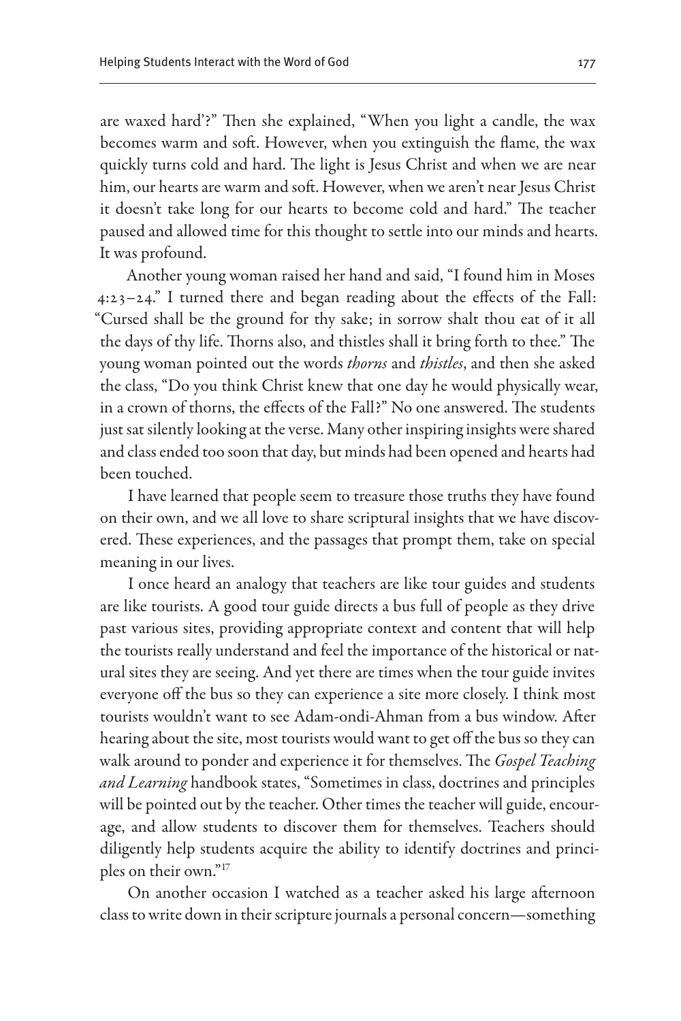are waxed hard'?" Then she explained, "When you light a candle, the wax becomes warm and soft. However, when you extinguish the flame, the wax quickly turns cold and hard. The light is Jesus Christ and when we are near him, our hearts are warm and soft. However, when we aren't near Jesus Christ it doesn't take long for our hearts to become cold and hard." The teacher paused and allowed time for this thought to settle into our minds and hearts. It was profound.

Another young woman raised her hand and said, "I found him in Moses 4:23–24." I turned there and began reading about the effects of the Fall: "Cursed shall be the ground for thy sake; in sorrow shalt thou eat of it all the days of thy life. Thorns also, and thistles shall it bring forth to thee." The young woman pointed out the words *thorns* and *thistles*, and then she asked the class, "Do you think Christ knew that one day he would physically wear, in a crown of thorns, the effects of the Fall?" No one answered. The students just sat silently looking at the verse. Many other inspiring insights were shared and class ended too soon that day, but minds had been opened and hearts had been touched.

I have learned that people seem to treasure those truths they have found on their own, and we all love to share scriptural insights that we have discovered. These experiences, and the passages that prompt them, take on special meaning in our lives.

I once heard an analogy that teachers are like tour guides and students are like tourists. A good tour guide directs a bus full of people as they drive past various sites, providing appropriate context and content that will help the tourists really understand and feel the importance of the historical or natural sites they are seeing. And yet there are times when the tour guide invites everyone off the bus so they can experience a site more closely. I think most tourists wouldn't want to see Adam-ondi-Ahman from a bus window. After hearing about the site, most tourists would want to get off the bus so they can walk around to ponder and experience it for themselves. The *Gospel Teaching and Learning* handbook states, "Sometimes in class, doctrines and principles will be pointed out by the teacher. Other times the teacher will guide, encourage, and allow students to discover them for themselves. Teachers should diligently help students acquire the ability to identify doctrines and principles on their own."17

On another occasion I watched as a teacher asked his large afternoon class to write down in their scripture journals a personal concern—something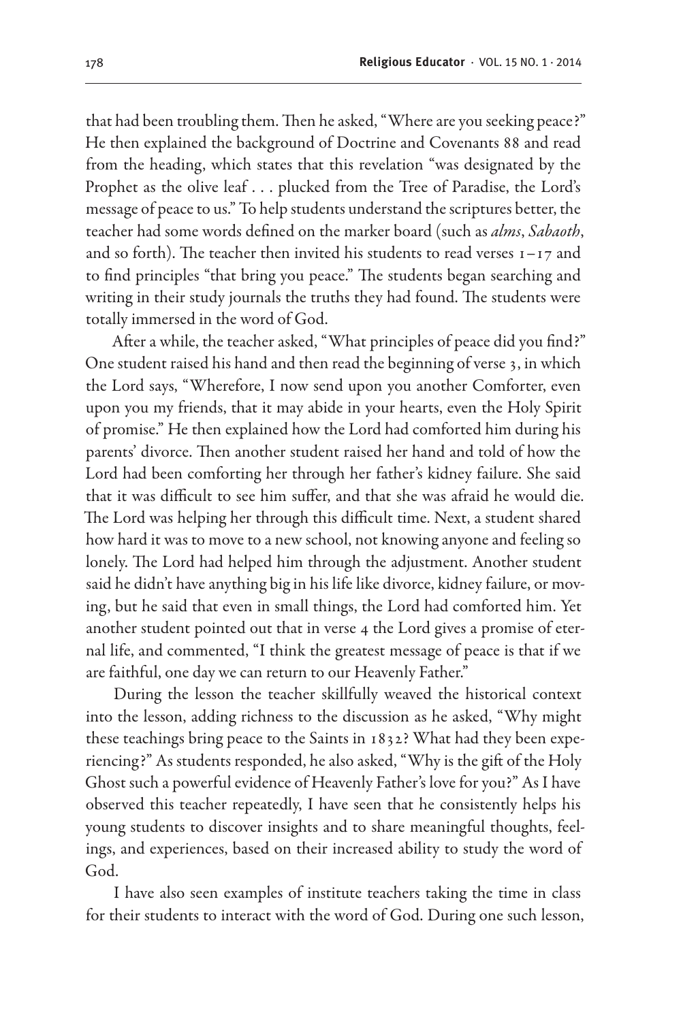that had been troubling them. Then he asked, "Where are you seeking peace?" He then explained the background of Doctrine and Covenants 88 and read from the heading, which states that this revelation "was designated by the Prophet as the olive leaf . . . plucked from the Tree of Paradise, the Lord's message of peace to us." To help students understand the scriptures better, the teacher had some words defined on the marker board (such as *alms*, *Sabaoth*, and so forth). The teacher then invited his students to read verses  $1 - 17$  and to find principles "that bring you peace." The students began searching and writing in their study journals the truths they had found. The students were totally immersed in the word of God.

After a while, the teacher asked, "What principles of peace did you find?" One student raised his hand and then read the beginning of verse 3, in which the Lord says, "Wherefore, I now send upon you another Comforter, even upon you my friends, that it may abide in your hearts, even the Holy Spirit of promise." He then explained how the Lord had comforted him during his parents' divorce. Then another student raised her hand and told of how the Lord had been comforting her through her father's kidney failure. She said that it was difficult to see him suffer, and that she was afraid he would die. The Lord was helping her through this difficult time. Next, a student shared how hard it was to move to a new school, not knowing anyone and feeling so lonely. The Lord had helped him through the adjustment. Another student said he didn't have anything big in his life like divorce, kidney failure, or moving, but he said that even in small things, the Lord had comforted him. Yet another student pointed out that in verse 4 the Lord gives a promise of eternal life, and commented, "I think the greatest message of peace is that if we are faithful, one day we can return to our Heavenly Father."

During the lesson the teacher skillfully weaved the historical context into the lesson, adding richness to the discussion as he asked, "Why might these teachings bring peace to the Saints in 1832? What had they been experiencing?" As students responded, he also asked, "Why is the gift of the Holy Ghost such a powerful evidence of Heavenly Father's love for you?" As I have observed this teacher repeatedly, I have seen that he consistently helps his young students to discover insights and to share meaningful thoughts, feelings, and experiences, based on their increased ability to study the word of God.

I have also seen examples of institute teachers taking the time in class for their students to interact with the word of God. During one such lesson,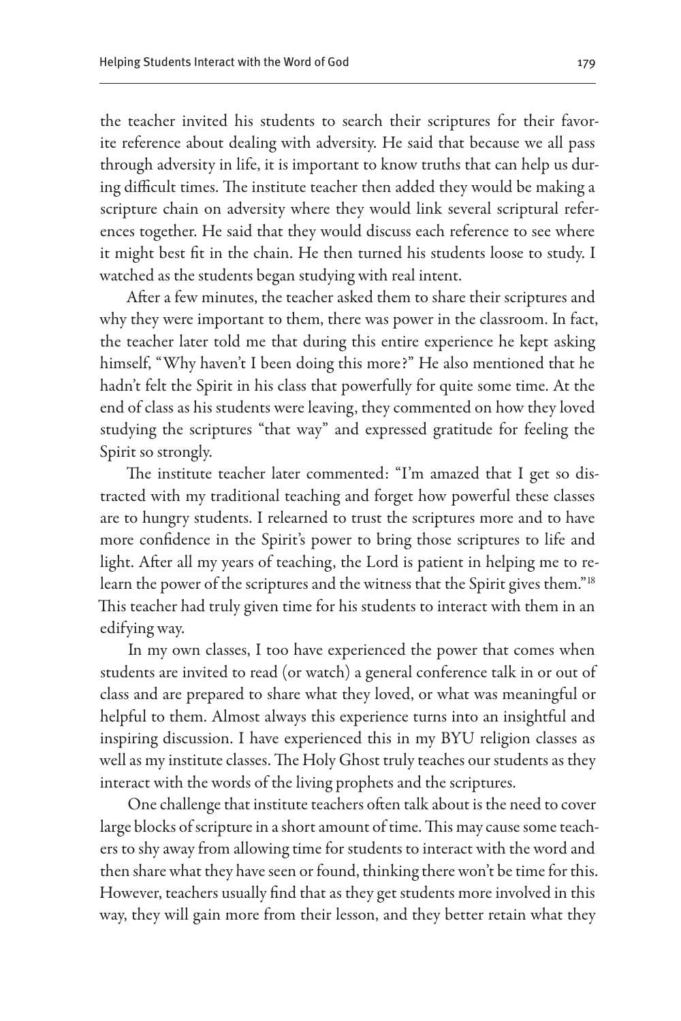the teacher invited his students to search their scriptures for their favorite reference about dealing with adversity. He said that because we all pass through adversity in life, it is important to know truths that can help us during difficult times. The institute teacher then added they would be making a scripture chain on adversity where they would link several scriptural references together. He said that they would discuss each reference to see where it might best fit in the chain. He then turned his students loose to study. I watched as the students began studying with real intent.

After a few minutes, the teacher asked them to share their scriptures and why they were important to them, there was power in the classroom. In fact, the teacher later told me that during this entire experience he kept asking himself, "Why haven't I been doing this more?" He also mentioned that he hadn't felt the Spirit in his class that powerfully for quite some time. At the end of class as his students were leaving, they commented on how they loved studying the scriptures "that way" and expressed gratitude for feeling the Spirit so strongly.

The institute teacher later commented: "I'm amazed that I get so distracted with my traditional teaching and forget how powerful these classes are to hungry students. I relearned to trust the scriptures more and to have more confidence in the Spirit's power to bring those scriptures to life and light. After all my years of teaching, the Lord is patient in helping me to relearn the power of the scriptures and the witness that the Spirit gives them."<sup>18</sup> This teacher had truly given time for his students to interact with them in an edifying way.

In my own classes, I too have experienced the power that comes when students are invited to read (or watch) a general conference talk in or out of class and are prepared to share what they loved, or what was meaningful or helpful to them. Almost always this experience turns into an insightful and inspiring discussion. I have experienced this in my BYU religion classes as well as my institute classes. The Holy Ghost truly teaches our students as they interact with the words of the living prophets and the scriptures.

One challenge that institute teachers often talk about is the need to cover large blocks of scripture in a short amount of time. This may cause some teachers to shy away from allowing time for students to interact with the word and then share what they have seen or found, thinking there won't be time for this. However, teachers usually find that as they get students more involved in this way, they will gain more from their lesson, and they better retain what they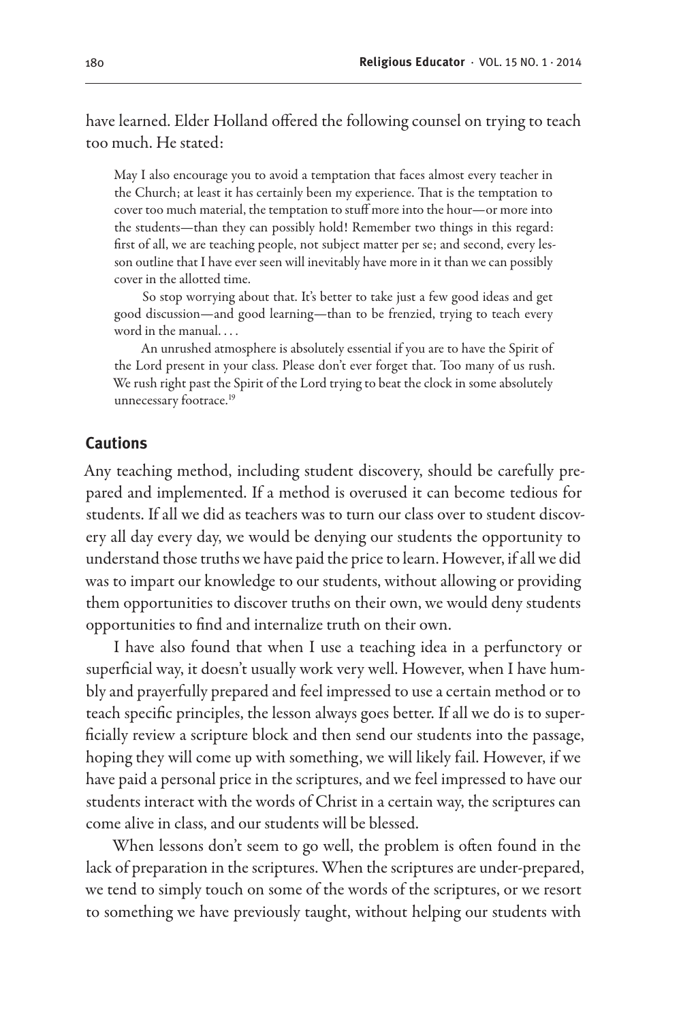have learned. Elder Holland offered the following counsel on trying to teach too much. He stated:

May I also encourage you to avoid a temptation that faces almost every teacher in the Church; at least it has certainly been my experience. That is the temptation to cover too much material, the temptation to stuff more into the hour—or more into the students—than they can possibly hold! Remember two things in this regard: first of all, we are teaching people, not subject matter per se; and second, every lesson outline that I have ever seen will inevitably have more in it than we can possibly cover in the allotted time.

So stop worrying about that. It's better to take just a few good ideas and get good discussion—and good learning—than to be frenzied, trying to teach every word in the manual. . . .

An unrushed atmosphere is absolutely essential if you are to have the Spirit of the Lord present in your class. Please don't ever forget that. Too many of us rush. We rush right past the Spirit of the Lord trying to beat the clock in some absolutely unnecessary footrace.<sup>19</sup>

#### **Cautions**

Any teaching method, including student discovery, should be carefully prepared and implemented. If a method is overused it can become tedious for students. If all we did as teachers was to turn our class over to student discovery all day every day, we would be denying our students the opportunity to understand those truths we have paid the price to learn. However, if all we did was to impart our knowledge to our students, without allowing or providing them opportunities to discover truths on their own, we would deny students opportunities to find and internalize truth on their own.

I have also found that when I use a teaching idea in a perfunctory or superficial way, it doesn't usually work very well. However, when I have humbly and prayerfully prepared and feel impressed to use a certain method or to teach specific principles, the lesson always goes better. If all we do is to superficially review a scripture block and then send our students into the passage, hoping they will come up with something, we will likely fail. However, if we have paid a personal price in the scriptures, and we feel impressed to have our students interact with the words of Christ in a certain way, the scriptures can come alive in class, and our students will be blessed.

When lessons don't seem to go well, the problem is often found in the lack of preparation in the scriptures. When the scriptures are under-prepared, we tend to simply touch on some of the words of the scriptures, or we resort to something we have previously taught, without helping our students with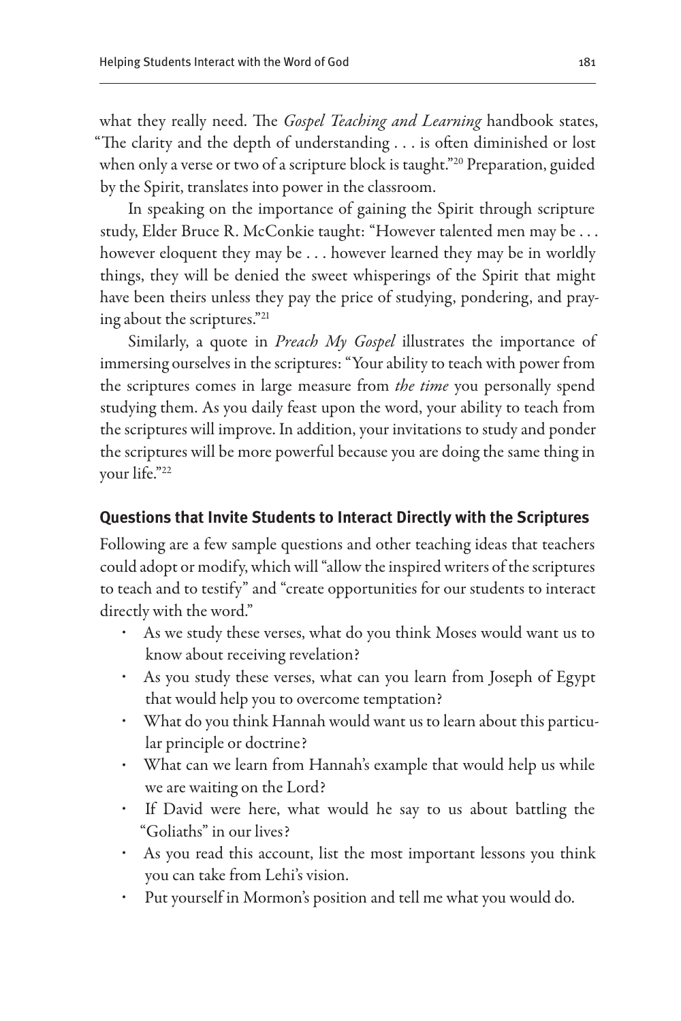what they really need. The *Gospel Teaching and Learning* handbook states, "The clarity and the depth of understanding . . . is often diminished or lost when only a verse or two of a scripture block is taught."<sup>20</sup> Preparation, guided by the Spirit, translates into power in the classroom.

In speaking on the importance of gaining the Spirit through scripture study, Elder Bruce R. McConkie taught: "However talented men may be . . . however eloquent they may be . . . however learned they may be in worldly things, they will be denied the sweet whisperings of the Spirit that might have been theirs unless they pay the price of studying, pondering, and praying about the scriptures."21

Similarly, a quote in *Preach My Gospel* illustrates the importance of immersing ourselves in the scriptures: "Your ability to teach with power from the scriptures comes in large measure from *the time* you personally spend studying them. As you daily feast upon the word, your ability to teach from the scriptures will improve. In addition, your invitations to study and ponder the scriptures will be more powerful because you are doing the same thing in your life."22

# **Questions that Invite Students to Interact Directly with the Scriptures**

Following are a few sample questions and other teaching ideas that teachers could adopt or modify, which will "allow the inspired writers of the scriptures to teach and to testify" and "create opportunities for our students to interact directly with the word."

- As we study these verses, what do you think Moses would want us to know about receiving revelation?
- As you study these verses, what can you learn from Joseph of Egypt that would help you to overcome temptation?
- What do you think Hannah would want us to learn about this particular principle or doctrine?
- What can we learn from Hannah's example that would help us while we are waiting on the Lord?
- If David were here, what would he say to us about battling the "Goliaths" in our lives?
- As you read this account, list the most important lessons you think you can take from Lehi's vision.
- Put yourself in Mormon's position and tell me what you would do.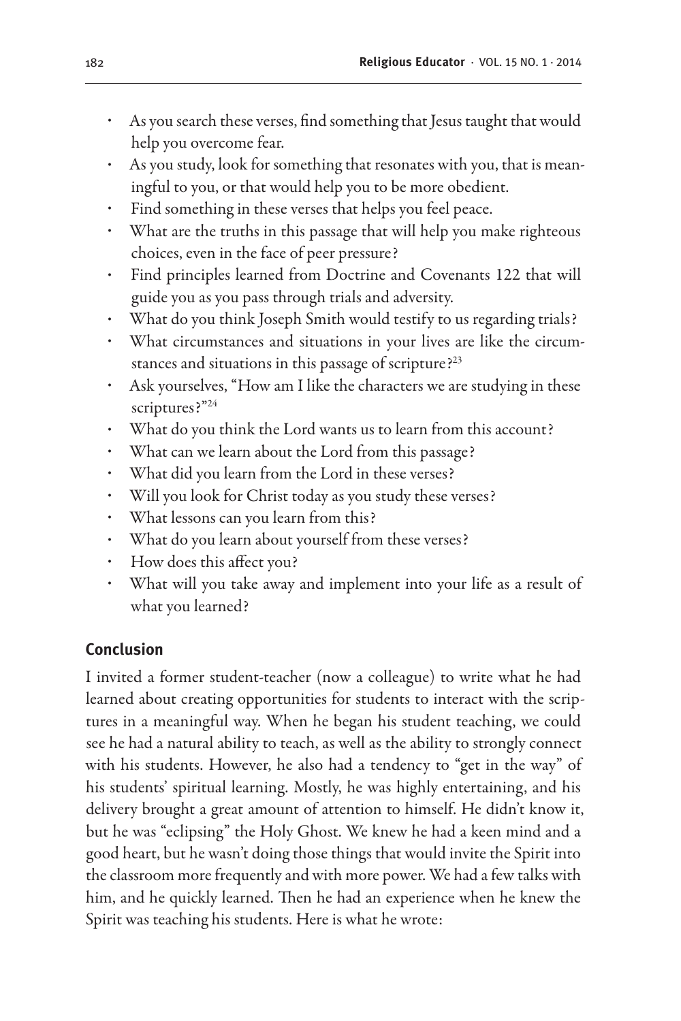- As you search these verses, find something that Jesus taught that would help you overcome fear.
- As you study, look for something that resonates with you, that is meaningful to you, or that would help you to be more obedient.
- Find something in these verses that helps you feel peace.
- What are the truths in this passage that will help you make righteous choices, even in the face of peer pressure?
- Find principles learned from Doctrine and Covenants 122 that will guide you as you pass through trials and adversity.
- What do you think Joseph Smith would testify to us regarding trials?
- What circumstances and situations in your lives are like the circumstances and situations in this passage of scripture?<sup>23</sup>
- Ask yourselves, "How am I like the characters we are studying in these scriptures?"<sup>24</sup>
- What do you think the Lord wants us to learn from this account?
- What can we learn about the Lord from this passage?
- What did you learn from the Lord in these verses?
- Will you look for Christ today as you study these verses?
- What lessons can you learn from this?
- What do you learn about yourself from these verses?
- How does this affect you?
- What will you take away and implement into your life as a result of what you learned?

# **Conclusion**

I invited a former student-teacher (now a colleague) to write what he had learned about creating opportunities for students to interact with the scriptures in a meaningful way. When he began his student teaching, we could see he had a natural ability to teach, as well as the ability to strongly connect with his students. However, he also had a tendency to "get in the way" of his students' spiritual learning. Mostly, he was highly entertaining, and his delivery brought a great amount of attention to himself. He didn't know it, but he was "eclipsing" the Holy Ghost. We knew he had a keen mind and a good heart, but he wasn't doing those things that would invite the Spirit into the classroom more frequently and with more power. We had a few talks with him, and he quickly learned. Then he had an experience when he knew the Spirit was teaching his students. Here is what he wrote: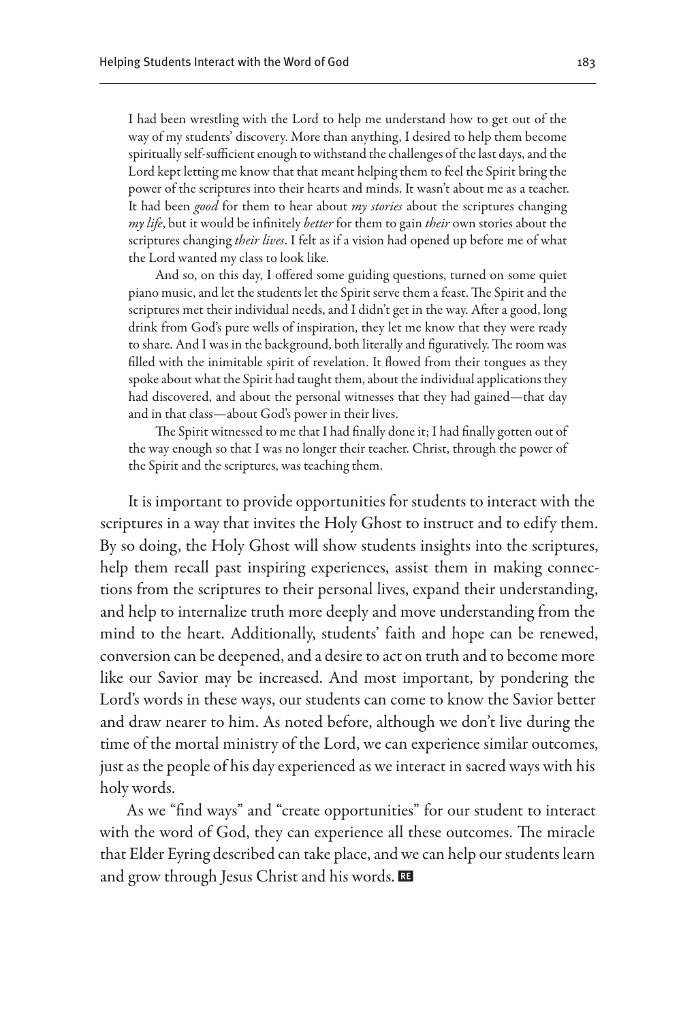I had been wrestling with the Lord to help me understand how to get out of the way of my students' discovery. More than anything, I desired to help them become spiritually self-sufficient enough to withstand the challenges of the last days, and the Lord kept letting me know that that meant helping them to feel the Spirit bring the power of the scriptures into their hearts and minds. It wasn't about me as a teacher. It had been *good* for them to hear about *my stories* about the scriptures changing *my life*, but it would be infinitely *better* for them to gain *their* own stories about the scriptures changing *their lives*. I felt as if a vision had opened up before me of what the Lord wanted my class to look like.

And so, on this day, I offered some guiding questions, turned on some quiet piano music, and let the students let the Spirit serve them a feast. The Spirit and the scriptures met their individual needs, and I didn't get in the way. After a good, long drink from God's pure wells of inspiration, they let me know that they were ready to share. And I was in the background, both literally and figuratively. The room was filled with the inimitable spirit of revelation. It flowed from their tongues as they spoke about what the Spirit had taught them, about the individual applications they had discovered, and about the personal witnesses that they had gained—that day and in that class—about God's power in their lives.

The Spirit witnessed to me that I had finally done it; I had finally gotten out of the way enough so that I was no longer their teacher. Christ, through the power of the Spirit and the scriptures, was teaching them.

It is important to provide opportunities for students to interact with the scriptures in a way that invites the Holy Ghost to instruct and to edify them. By so doing, the Holy Ghost will show students insights into the scriptures, help them recall past inspiring experiences, assist them in making connections from the scriptures to their personal lives, expand their understanding, and help to internalize truth more deeply and move understanding from the mind to the heart. Additionally, students' faith and hope can be renewed, conversion can be deepened, and a desire to act on truth and to become more like our Savior may be increased. And most important, by pondering the Lord's words in these ways, our students can come to know the Savior better and draw nearer to him. As noted before, although we don't live during the time of the mortal ministry of the Lord, we can experience similar outcomes, just as the people of his day experienced as we interact in sacred ways with his holy words.

As we "find ways" and "create opportunities" for our student to interact with the word of God, they can experience all these outcomes. The miracle that Elder Eyring described can take place, and we can help our students learn and grow through Jesus Christ and his words.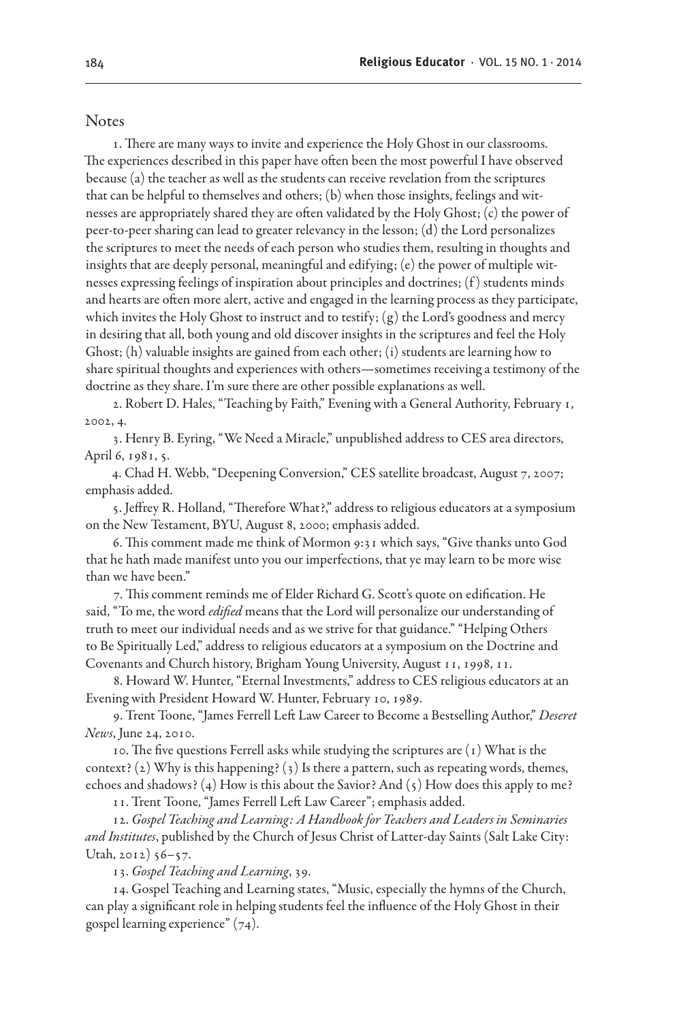#### Notes

1. There are many ways to invite and experience the Holy Ghost in our classrooms. The experiences described in this paper have often been the most powerful I have observed because (a) the teacher as well as the students can receive revelation from the scriptures that can be helpful to themselves and others; (b) when those insights, feelings and witnesses are appropriately shared they are often validated by the Holy Ghost; (c) the power of peer-to-peer sharing can lead to greater relevancy in the lesson; (d) the Lord personalizes the scriptures to meet the needs of each person who studies them, resulting in thoughts and insights that are deeply personal, meaningful and edifying; (e) the power of multiple witnesses expressing feelings of inspiration about principles and doctrines; (f ) students minds and hearts are often more alert, active and engaged in the learning process as they participate, which invites the Holy Ghost to instruct and to testify; (g) the Lord's goodness and mercy in desiring that all, both young and old discover insights in the scriptures and feel the Holy Ghost; (h) valuable insights are gained from each other; (i) students are learning how to share spiritual thoughts and experiences with others—sometimes receiving a testimony of the doctrine as they share. I'm sure there are other possible explanations as well.

2. Robert D. Hales, "Teaching by Faith," Evening with a General Authority, February 1, 2002, 4.

3. Henry B. Eyring, "We Need a Miracle," unpublished address to CES area directors, April 6, 1981, 5.

4. Chad H. Webb, "Deepening Conversion," CES satellite broadcast, August 7, 2007; emphasis added.

5. Jeffrey R. Holland, "Therefore What?," address to religious educators at a symposium on the New Testament, BYU, August 8, 2000; emphasis added.

6. This comment made me think of Mormon 9:31 which says, "Give thanks unto God that he hath made manifest unto you our imperfections, that ye may learn to be more wise than we have been."

7. This comment reminds me of Elder Richard G. Scott's quote on edification. He said, "To me, the word *edified* means that the Lord will personalize our understanding of truth to meet our individual needs and as we strive for that guidance." "Helping Others to Be Spiritually Led," address to religious educators at a symposium on the Doctrine and Covenants and Church history, Brigham Young University, August 11, 1998, 11.

8. Howard W. Hunter, "Eternal Investments," address to CES religious educators at an Evening with President Howard W. Hunter, February 10, 1989.

9. Trent Toone, "James Ferrell Left Law Career to Become a Bestselling Author," *Deseret News*, June 24, 2010.

10. The five questions Ferrell asks while studying the scriptures are  $(1)$  What is the context? (2) Why is this happening? (3) Is there a pattern, such as repeating words, themes, echoes and shadows? (4) How is this about the Savior? And (5) How does this apply to me?

11. Trent Toone, "James Ferrell Left Law Career"; emphasis added.

12. *Gospel Teaching and Learning: A Handbook for Teachers and Leaders in Seminaries and Institutes*, published by the Church of Jesus Christ of Latter-day Saints (Salt Lake City: Utah, 2012) 56–57.

13. *Gospel Teaching and Learning*, 39.

14. Gospel Teaching and Learning states, "Music, especially the hymns of the Church, can play a significant role in helping students feel the influence of the Holy Ghost in their gospel learning experience" (74).